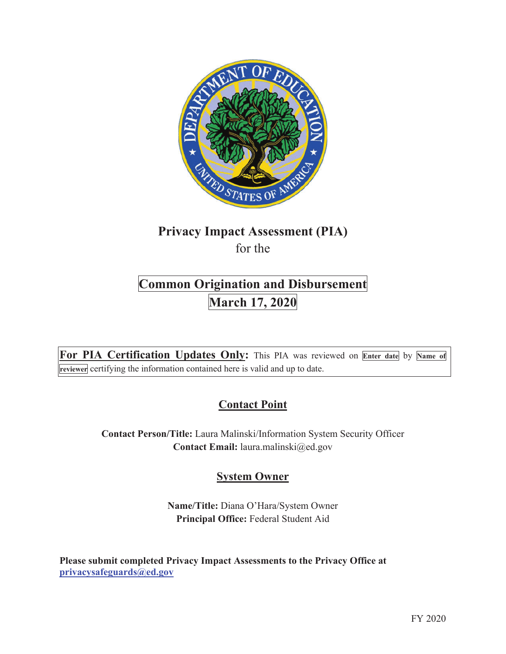

# **Privacy Impact Assessment (PIA)**  for the

# **Common Origination and Disbursement**<br>March 17, 2020

**For PIA Certification Updates Only:** This PIA was reviewed on **Enter date** by **Name of reviewer** certifying the information contained here is valid and up to date.

# **Contact Point**

**Contact Person/Title:** Laura Malinski/Information System Security Officer **Contact Email:** laura.malinski@ed.gov

# **System Owner**

**Name/Title:** Diana O'Hara/System Owner **Principal Office:** Federal Student Aid

**Please submit completed Privacy Impact Assessments to the Privacy Office at privacysafeguards@ed.gov**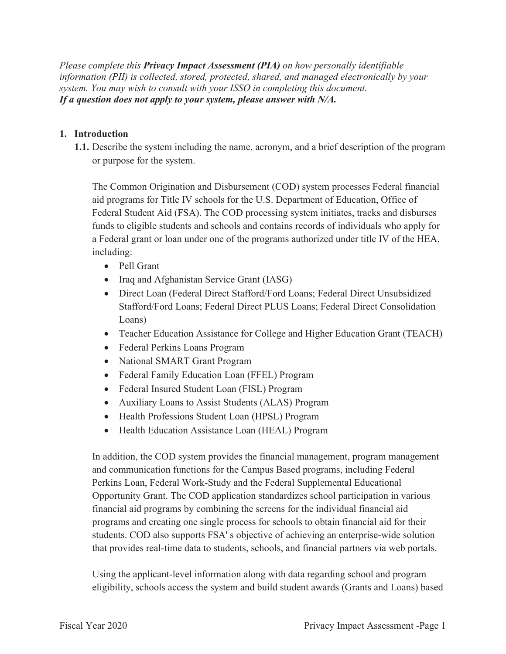*Please complete this Privacy Impact Assessment (PIA) on how personally identifiable information (PII) is collected, stored, protected, shared, and managed electronically by your system. You may wish to consult with your ISSO in completing this document. If a question does not apply to your system, please answer with N/A.*

#### **1. Introduction**

**1.1.** Describe the system including the name, acronym, and a brief description of the program or purpose for the system.

The Common Origination and Disbursement (COD) system processes Federal financial aid programs for Title IV schools for the U.S. Department of Education, Office of Federal Student Aid (FSA). The COD processing system initiates, tracks and disburses funds to eligible students and schools and contains records of individuals who apply for a Federal grant or loan under one of the programs authorized under title IV of the HEA, including:

- Pell Grant
- Iraq and Afghanistan Service Grant (IASG)
- Direct Loan (Federal Direct Stafford/Ford Loans; Federal Direct Unsubsidized Stafford/Ford Loans; Federal Direct PLUS Loans; Federal Direct Consolidation Loans)
- Teacher Education Assistance for College and Higher Education Grant (TEACH)
- Federal Perkins Loans Program
- National SMART Grant Program
- Federal Family Education Loan (FFEL) Program
- Federal Insured Student Loan (FISL) Program
- Auxiliary Loans to Assist Students (ALAS) Program
- Health Professions Student Loan (HPSL) Program
- Health Education Assistance Loan (HEAL) Program

In addition, the COD system provides the financial management, program management and communication functions for the Campus Based programs, including Federal Perkins Loan, Federal Work-Study and the Federal Supplemental Educational Opportunity Grant. The COD application standardizes school participation in various financial aid programs by combining the screens for the individual financial aid programs and creating one single process for schools to obtain financial aid for their students. COD also supports FSA' s objective of achieving an enterprise-wide solution that provides real-time data to students, schools, and financial partners via web portals.

Using the applicant-level information along with data regarding school and program eligibility, schools access the system and build student awards (Grants and Loans) based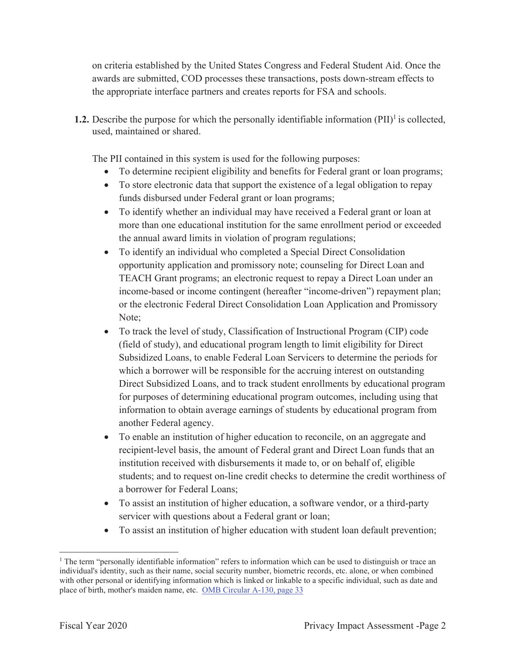on criteria established by the United States Congress and Federal Student Aid. Once the awards are submitted, COD processes these transactions, posts down-stream effects to the appropriate interface partners and creates reports for FSA and schools.

**1.2.** Describe the purpose for which the personally identifiable information  $(PII)^{1}$  is collected, used, maintained or shared.

The PII contained in this system is used for the following purposes:

- To determine recipient eligibility and benefits for Federal grant or loan programs;
- To store electronic data that support the existence of a legal obligation to repay funds disbursed under Federal grant or loan programs;
- To identify whether an individual may have received a Federal grant or loan at more than one educational institution for the same enrollment period or exceeded the annual award limits in violation of program regulations;
- To identify an individual who completed a Special Direct Consolidation opportunity application and promissory note; counseling for Direct Loan and TEACH Grant programs; an electronic request to repay a Direct Loan under an income-based or income contingent (hereafter "income-driven") repayment plan; or the electronic Federal Direct Consolidation Loan Application and Promissory Note;
- To track the level of study, Classification of Instructional Program (CIP) code (field of study), and educational program length to limit eligibility for Direct Subsidized Loans, to enable Federal Loan Servicers to determine the periods for which a borrower will be responsible for the accruing interest on outstanding Direct Subsidized Loans, and to track student enrollments by educational program for purposes of determining educational program outcomes, including using that information to obtain average earnings of students by educational program from another Federal agency.
- To enable an institution of higher education to reconcile, on an aggregate and recipient-level basis, the amount of Federal grant and Direct Loan funds that an institution received with disbursements it made to, or on behalf of, eligible students; and to request on-line credit checks to determine the credit worthiness of a borrower for Federal Loans;
- To assist an institution of higher education, a software vendor, or a third-party servicer with questions about a Federal grant or loan;
- To assist an institution of higher education with student loan default prevention;

<sup>&</sup>lt;sup>1</sup> The term "personally identifiable information" refers to information which can be used to distinguish or trace an individual's identity, such as their name, social security number, biometric records, etc. alone, or when combined with other personal or identifying information which is linked or linkable to a specific individual, such as date and place of birth, mother's maiden name, etc. OMB Circular A-130, page 33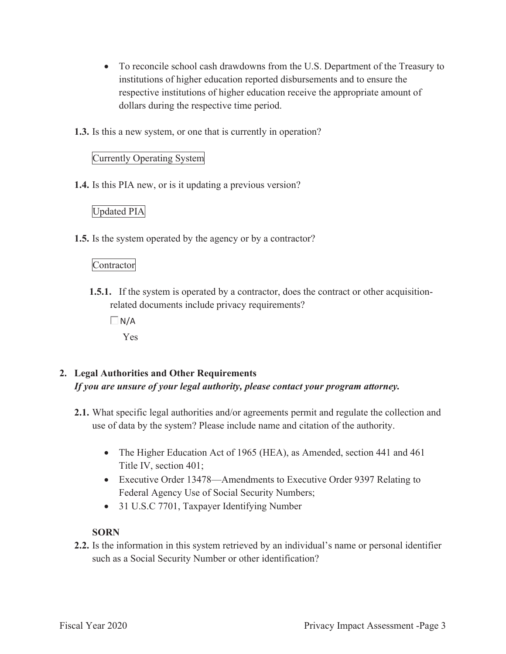- To reconcile school cash drawdowns from the U.S. Department of the Treasury to institutions of higher education reported disbursements and to ensure the respective institutions of higher education receive the appropriate amount of dollars during the respective time period.
- **1.3.** Is this a new system, or one that is currently in operation?

# Currently Operating System

**1.4.** Is this PIA new, or is it updating a previous version?

# Updated PIA

**1.5.** Is the system operated by the agency or by a contractor?

# Contractor

- **1.5.1.** If the system is operated by a contractor, does the contract or other acquisitionrelated documents include privacy requirements?
	- $\Box$ N/A

Yes

# **2. Legal Authorities and Other Requirements**  *If you are unsure of your legal authority, please contact your program attorney.*

- **2.1.** What specific legal authorities and/or agreements permit and regulate the collection and use of data by the system? Please include name and citation of the authority.
	- The Higher Education Act of 1965 (HEA), as Amended, section 441 and 461 Title IV, section 401;
	- Executive Order 13478—Amendments to Executive Order 9397 Relating to Federal Agency Use of Social Security Numbers;
	- 31 U.S.C 7701, Taxpayer Identifying Number

# **SORN**

**2.2.** Is the information in this system retrieved by an individual's name or personal identifier such as a Social Security Number or other identification?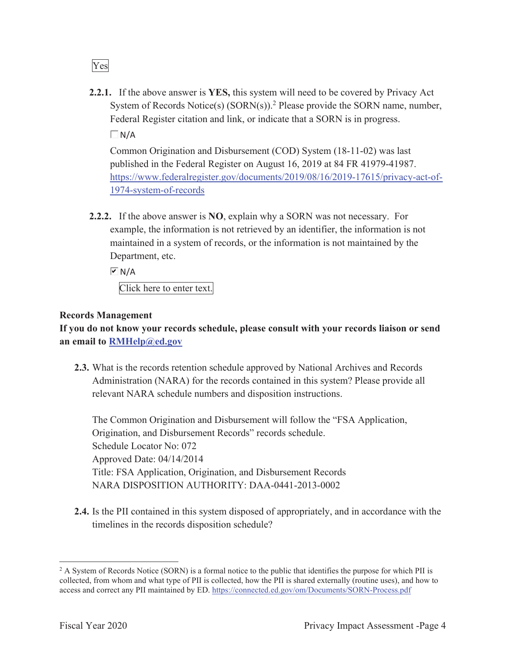Yes

**2.2.1.** If the above answer is **YES,** this system will need to be covered by Privacy Act System of Records Notice(s)  $(SORN(s))$ .<sup>2</sup> Please provide the SORN name, number, Federal Register citation and link, or indicate that a SORN is in progress.

 $\Box$  N/A

Common Origination and Disbursement (COD) System (18-11-02) was last published in the Federal Register on August 16, 2019 at 84 FR 41979-41987. https://www.federalregister.gov/documents/2019/08/16/2019-17615/privacy-act-of-1974-system-of-records

**2.2.2.** If the above answer is **NO**, explain why a SORN was not necessary. For example, the information is not retrieved by an identifier, the information is not maintained in a system of records, or the information is not maintained by the Department, etc.

 $\overline{M}$  N/A Click here to enter text.

# **Records Management**

**If you do not know your records schedule, please consult with your records liaison or send an email to RMHelp@ed.gov**

**2.3.** What is the records retention schedule approved by National Archives and Records Administration (NARA) for the records contained in this system? Please provide all relevant NARA schedule numbers and disposition instructions.

The Common Origination and Disbursement will follow the "FSA Application, Origination, and Disbursement Records" records schedule. Schedule Locator No: 072 Approved Date: 04/14/2014 Title: FSA Application, Origination, and Disbursement Records NARA DISPOSITION AUTHORITY: DAA-0441-2013-0002

**2.4.** Is the PII contained in this system disposed of appropriately, and in accordance with the timelines in the records disposition schedule?

<sup>&</sup>lt;sup>2</sup> A System of Records Notice (SORN) is a formal notice to the public that identifies the purpose for which PII is collected, from whom and what type of PII is collected, how the PII is shared externally (routine uses), and how to access and correct any PII maintained by ED. https://connected.ed.gov/om/Documents/SORN-Process.pdf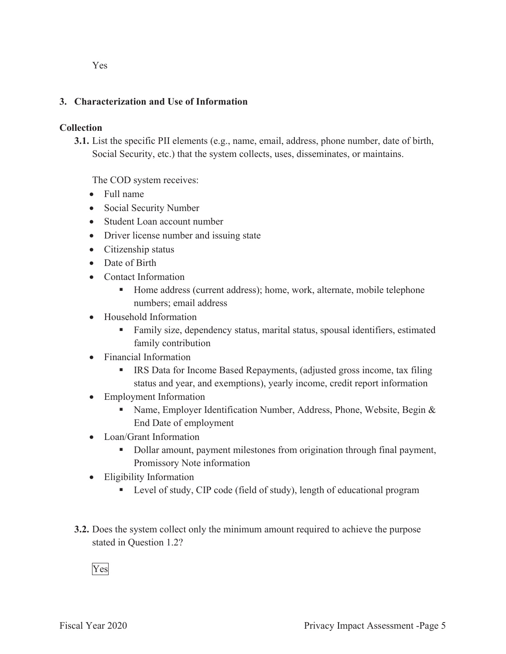Yes

# **3. Characterization and Use of Information**

# **Collection**

**3.1.** List the specific PII elements (e.g., name, email, address, phone number, date of birth, Social Security, etc.) that the system collects, uses, disseminates, or maintains.

The COD system receives:

- Full name
- Social Security Number
- Student Loan account number
- Driver license number and issuing state
- Citizenship status
- Date of Birth
- Contact Information
	- Home address (current address); home, work, alternate, mobile telephone numbers; email address
- Household Information
	- Family size, dependency status, marital status, spousal identifiers, estimated family contribution
- Financial Information
	- **IRS** Data for Income Based Repayments, (adjusted gross income, tax filing status and year, and exemptions), yearly income, credit report information
- Employment Information
	- Name, Employer Identification Number, Address, Phone, Website, Begin  $\&$ End Date of employment
- Loan/Grant Information
	- Dollar amount, payment milestones from origination through final payment, Promissory Note information
- Eligibility Information
	- Level of study, CIP code (field of study), length of educational program
- **3.2.** Does the system collect only the minimum amount required to achieve the purpose stated in Question 1.2?

Yes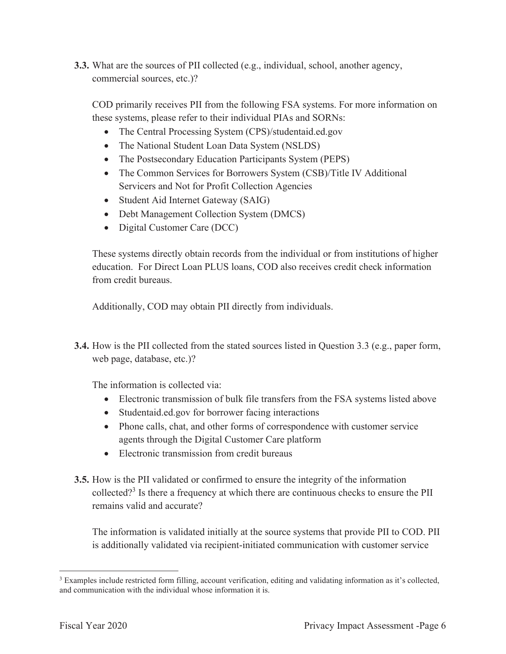**3.3.** What are the sources of PII collected (e.g., individual, school, another agency, commercial sources, etc.)?

COD primarily receives PII from the following FSA systems. For more information on these systems, please refer to their individual PIAs and SORNs:

- The Central Processing System (CPS)/studentaid.ed.gov
- The National Student Loan Data System (NSLDS)
- The Postsecondary Education Participants System (PEPS)
- The Common Services for Borrowers System (CSB)/Title IV Additional Servicers and Not for Profit Collection Agencies
- Student Aid Internet Gateway (SAIG)
- Debt Management Collection System (DMCS)
- Digital Customer Care (DCC)

These systems directly obtain records from the individual or from institutions of higher education. For Direct Loan PLUS loans, COD also receives credit check information from credit bureaus.

Additionally, COD may obtain PII directly from individuals.

**3.4.** How is the PII collected from the stated sources listed in Question 3.3 (e.g., paper form, web page, database, etc.)?

The information is collected via:

- Electronic transmission of bulk file transfers from the FSA systems listed abo ve
- Studentaid.ed.gov for borrower facing interactions
- Phone calls, chat, and other forms of correspondence with customer service agents through the Digital Customer Care platform
- Electronic transmission from credit bureaus
- **3.5.** How is the PII validated or confirmed to ensure the integrity of the information collected?<sup>3</sup> Is there a frequency at which there are continuous checks to ensure the PII remains valid and accurate?

The information is validated initially at the source systems that provide PII to COD. PII is additionally validated via recipient-initiated communication with customer service

<sup>&</sup>lt;sup>3</sup> Examples include restricted form filling, account verification, editing and validating information as it's collected, and communication with the individual whose information it is.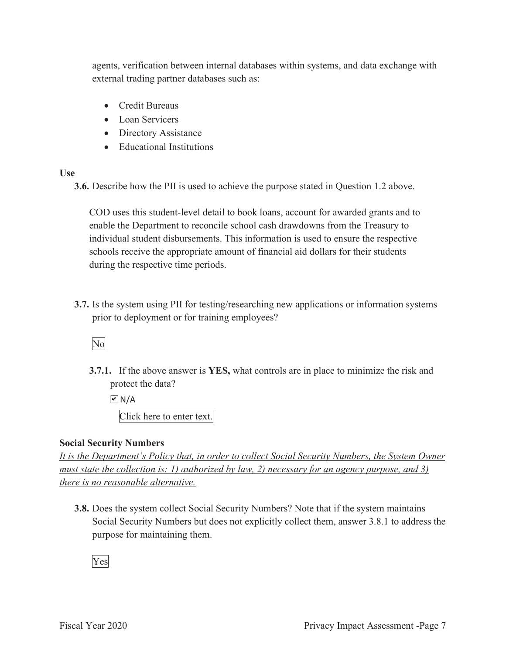agents, verification between internal databases within systems, and data exchange with external trading partner databases such as:

- Credit Bureaus
- Loan Servicers
- Directory Assistance
- Educational Institutions

#### **Use**

**3.6.** Describe how the PII is used to achieve the purpose stated in Question 1.2 above.

COD uses this student-level detail to book loans, account for awarded grants and to enable the Department to reconcile school cash drawdowns from the Treasury to individual student disbursements. This information is used to ensure the respective schools receive the appropriate amount of financial aid dollars for their students during the respective time periods.

**3.7.** Is the system using PII for testing/researching new applications or information systems prior to deployment or for training employees?

# No

**3.7.1.** If the above answer is **YES,** what controls are in place to minimize the risk and protect the data?

 $\overline{M}$  N/A

Click here to enter text.

#### **Social Security Numbers**

*It is the Department's Policy that, in order to collect Social Security Numbers, the System Owner must state the collection is: 1) authorized by law, 2) necessary for an agency purpose, and 3) there is no reasonable alternative.* 

**3.8.** Does the system collect Social Security Numbers? Note that if the system maintains Social Security Numbers but does not explicitly collect them, answer 3.8.1 to address the purpose for maintaining them.

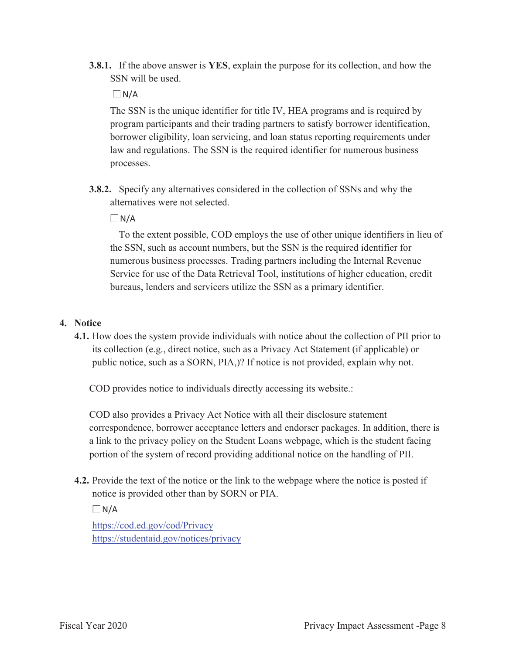**3.8.1.** If the above answer is **YES**, explain the purpose for its collection, and how the SSN will be used.

 $\Box$ N/A

The SSN is the unique identifier for title IV, HEA programs and is required by program participants and their trading partners to satisfy borrower identification, borrower eligibility, loan servicing, and loan status reporting requirements under law and regulations. The SSN is the required identifier for numerous business processes.

**3.8.2.** Specify any alternatives considered in the collection of SSNs and why the alternatives were not selected.

 $\Box$ N/A

To the extent possible, COD employs the use of other unique identifiers in lieu of the SSN, such as account numbers, but the SSN is the required identifier for numerous business processes. Trading partners including the Internal Revenue Service for use of the Data Retrieval Tool, institutions of higher education, credit bureaus, lenders and servicers utilize the SSN as a primary identifier.

#### **4. Notice**

**4.1.** How does the system provide individuals with notice about the collection of PII prior to its collection (e.g., direct notice, such as a Privacy Act Statement (if applicable) or public notice, such as a SORN, PIA,)? If notice is not provided, explain why not.

COD provides notice to individuals directly accessing its website.:

COD also provides a Privacy Act Notice with all their disclosure statement correspondence, borrower acceptance letters and endorser packages. In addition, there is a link to the privacy policy on the Student Loans webpage, which is the student facing portion of the system of record providing additional notice on the handling of PII.

**4.2.** Provide the text of the notice or the link to the webpage where the notice is posted if notice is provided other than by SORN or PIA.

 $\Box N/A$ 

https://cod.ed.gov/cod/Privacy https://studentaid.gov/notices/privacy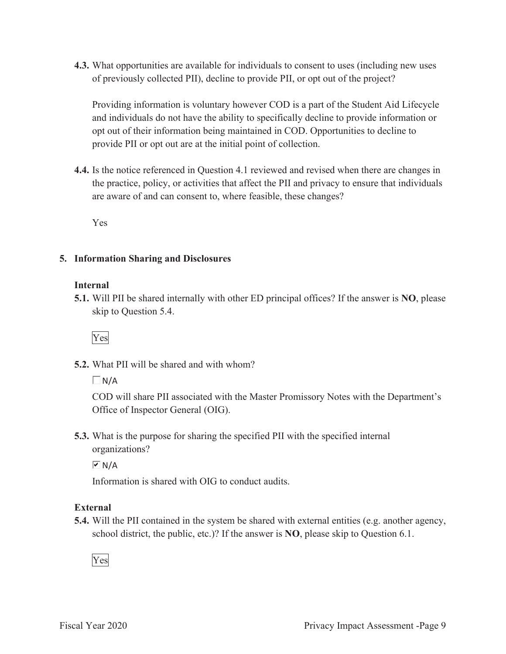**4.3.** What opportunities are available for individuals to consent to uses (including new uses of previously collected PII), decline to provide PII, or opt out of the project?

Providing information is voluntary however COD is a part of the Student Aid Lifecycle and individuals do not have the ability to specifically decline to provide information or opt out of their information being maintained in COD. Opportunities to decline to provide PII or opt out are at the initial point of collection.

**4.4.** Is the notice referenced in Question 4.1 reviewed and revised when there are changes in the practice, policy, or activities that affect the PII and privacy to ensure that individuals are aware of and can consent to, where feasible, these changes?

Yes

#### **5. Information Sharing and Disclosures**

#### **Internal**

**5.1.** Will PII be shared internally with other ED principal offices? If the answer is **NO**, please skip to Question 5.4.



**5.2.** What PII will be shared and with whom?

 $\Box$  N/A

COD will share PII associated with the Master Promissory Notes with the Department's Office of Inspector General (OIG).

**5.3.** What is the purpose for sharing the specified PII with the specified internal organizations?

 $\sqrt{M}$  N/A

Information is shared with OIG to conduct audits.

#### **External**

**5.4.** Will the PII contained in the system be shared with external entities (e.g. another agency, school district, the public, etc.)? If the answer is **NO**, please skip to Question 6.1.

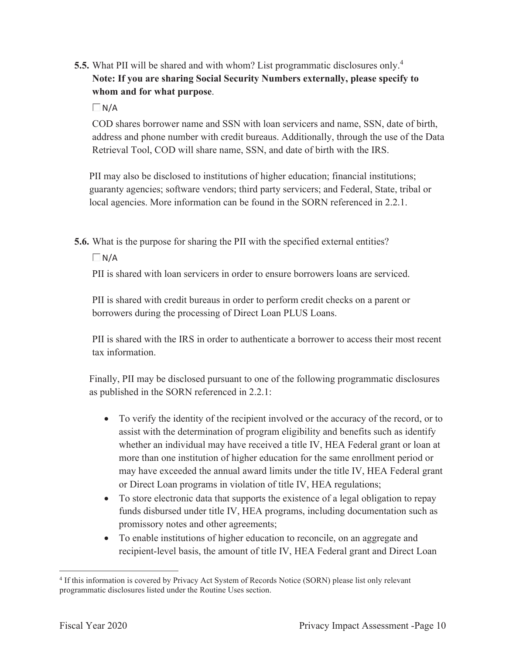- **5.5.** What PII will be shared and with whom? List programmatic disclosures only.<sup>4</sup> **Note: If you are sharing Social Security Numbers externally, please specify to whom and for what purpose**.
	- $\Box$ N/A

COD shares borrower name and SSN with loan servicers and name, SSN, date of birth, address and phone number with credit bureaus. Additionally, through the use of the Data Retrieval Tool, COD will share name, SSN, and date of birth with the IRS.

PII may also be disclosed to institutions of higher education; financial institutions; guaranty agencies; software vendors; third party servicers; and Federal, State, tribal or local agencies. More information can be found in the SORN referenced in 2.2.1.

**5.6.** What is the purpose for sharing the PII with the specified external entities?

 $\Box$ N/A

PII is shared with loan servicers in order to ensure borrowers loans are serviced.

PII is shared with credit bureaus in order to perform credit checks on a parent or borrowers during the processing of Direct Loan PLUS Loans.

PII is shared with the IRS in order to authenticate a borrower to access their most recent tax information.

Finally, PII may be disclosed pursuant to one of the following programmatic disclosures as published in the SORN referenced in 2.2.1:

- To verify the identity of the recipient involved or the accuracy of the record, or to assist with the determination of program eligibility and benefits such as identify whether an individual may have received a title IV, HEA Federal grant or loan at more than one institution of higher education for the same enrollment period or may have exceeded the annual award limits under the title IV, HEA Federal grant or Direct Loan programs in violation of title IV, HEA regulations;
- To store electronic data that supports the existence of a legal obligation to repay funds disbursed under title IV, HEA programs, including documentation such as promissory notes and other agreements;
- To enable institutions of higher education to reconcile, on an aggregate and recipient-level basis, the amount of title IV, HEA Federal grant and Direct Loan

<sup>4</sup> If this information is covered by Privacy Act System of Records Notice (SORN) please list only relevant programmatic disclosures listed under the Routine Uses section.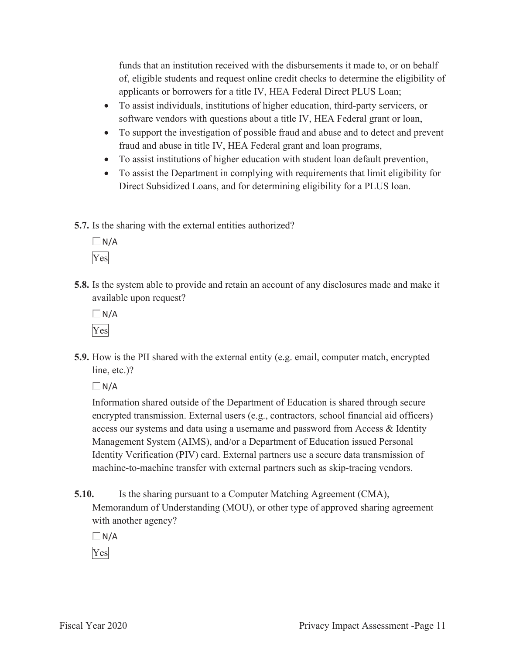funds that an institution received with the disbursements it made to, or on behalf of, eligible students and request online credit checks to determine the eligibility of applicants or borrowers for a title IV, HEA Federal Direct PLUS Loan;

- To assist individuals, institutions of higher education, third-party servicers, or software vendors with questions about a title IV, HEA Federal grant or loan,
- To support the investigation of possible fraud and abuse and to detect and prevent fraud and abuse in title IV, HEA Federal grant and loan programs,
- To assist institutions of higher education with student loan default prevention,
- To assist the Department in complying with requirements that limit eligibility for Direct Subsidized Loans, and for determining eligibility for a PLUS loan.
- **5.7.** Is the sharing with the external entities authorized?

 $\Box$ N/A Yes

**5.8.** Is the system able to provide and retain an account of any disclosures made and make it available upon request?

 $\Box N/A$ Yes

**5.9.** How is the PII shared with the external entity (e.g. email, computer match, encrypted line, etc.)?

 $\Box$ N/A

Information shared outside of the Department of Education is shared through secure encrypted transmission. External users (e.g., contractors, school financial aid officers) access our systems and data using a username and password from Access & Identity Management System (AIMS), and/or a Department of Education issued Personal Identity Verification (PIV) card. External partners use a secure data transmission of machine-to-machine transfer with external partners such as skip-tracing vendors.

**5.10.** Is the sharing pursuant to a Computer Matching Agreement (CMA), Memorandum of Understanding (MOU), or other type of approved sharing agreement with another agency?

 $\Box N/A$ 

Yes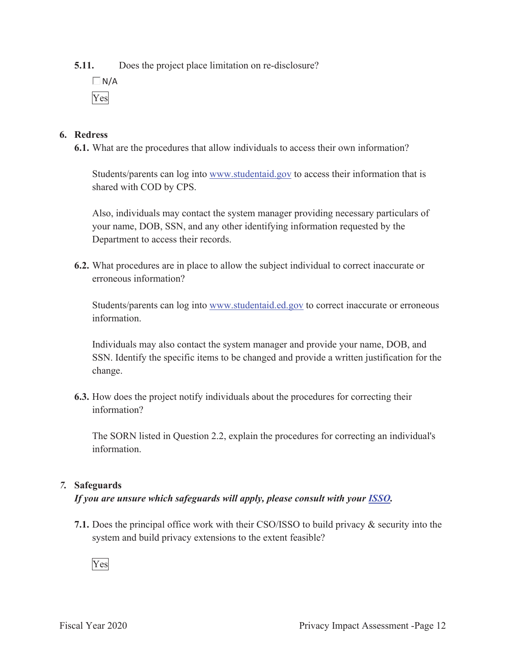**5.11.** Does the project place limitation on re-disclosure?

 $\Box N/A$ Yes

#### **6. Redress**

**6.1.** What are the procedures that allow individuals to access their own information?

Students/parents can log into www.studentaid.gov to access their information that is shared with COD by CPS.

Also, individuals may contact the system manager providing necessary particulars of your name, DOB, SSN, and any other identifying information requested by the Department to access their records.

**6.2.** What procedures are in place to allow the subject individual to correct inaccurate or erroneous information?

Students/parents can log into www.studentaid.ed.gov to correct inaccurate or erroneous information.

Individuals may also contact the system manager and provide your name, DOB, and SSN. Identify the specific items to be changed and provide a written justification for the change.

**6.3.** How does the project notify individuals about the procedures for correcting their information?

The SORN listed in Question 2.2, explain the procedures for correcting an individual's information.

#### *7.* **Safeguards**

#### *If you are unsure which safeguards will apply, please consult with your ISSO.*

**7.1.** Does the principal office work with their CSO/ISSO to build privacy & security into the system and build privacy extensions to the extent feasible?

Yes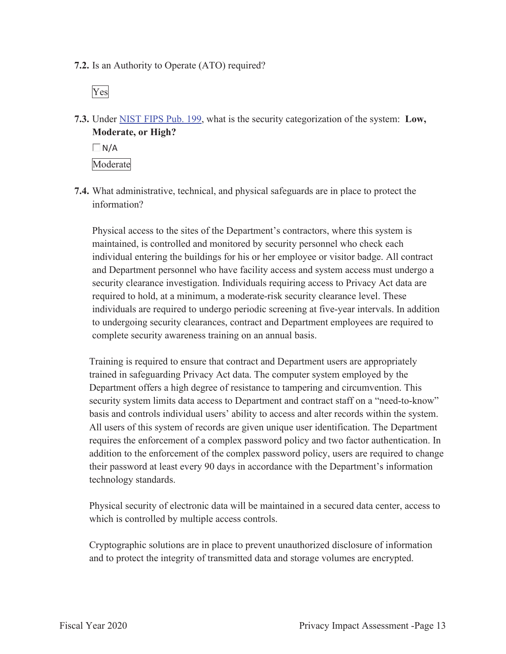**7.2.** Is an Authority to Operate (ATO) required?

Yes

**7.3.** Under NIST FIPS Pub. 199, what is the security categorization of the system: **Low, Moderate, or High?** 

 $\Box$  N/A Moderate

**7.4.** What administrative, technical, and physical safeguards are in place to protect the information?

Physical access to the sites of the Department's contractors, where this system is maintained, is controlled and monitored by security personnel who check each individual entering the buildings for his or her employee or visitor badge. All contract and Department personnel who have facility access and system access must undergo a security clearance investigation. Individuals requiring access to Privacy Act data are required to hold, at a minimum, a moderate-risk security clearance level. These individuals are required to undergo periodic screening at five-year intervals. In addition to undergoing security clearances, contract and Department employees are required to complete security awareness training on an annual basis.

Training is required to ensure that contract and Department users are appropriately trained in safeguarding Privacy Act data. The computer system employed by the Department offers a high degree of resistance to tampering and circumvention. This security system limits data access to Department and contract staff on a "need-to-know" basis and controls individual users' ability to access and alter records within the system. All users of this system of records are given unique user identification. The Department requires the enforcement of a complex password policy and two factor authentication. In addition to the enforcement of the complex password policy, users are required to change their password at least every 90 days in accordance with the Department's information technology standards.

Physical security of electronic data will be maintained in a secured data center, access to which is controlled by multiple access controls.

Cryptographic solutions are in place to prevent unauthorized disclosure of information and to protect the integrity of transmitted data and storage volumes are encrypted.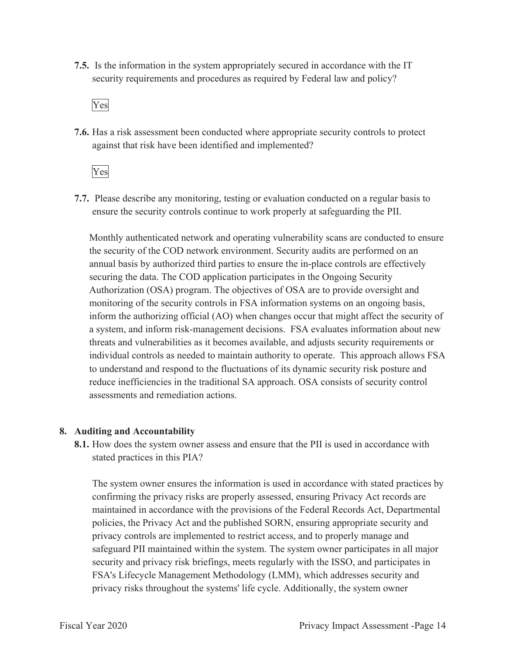**7.5.** Is the information in the system appropriately secured in accordance with the IT security requirements and procedures as required by Federal law and policy?

Yes

**7.6.** Has a risk assessment been conducted where appropriate security controls to protect against that risk have been identified and implemented?

Yes

**7.7.** Please describe any monitoring, testing or evaluation conducted on a regular basis to ensure the security controls continue to work properly at safeguarding the PII.

Monthly authenticated network and operating vulnerability scans are conducted to ensure the security of the COD network environment. Security audits are performed on an annual basis by authorized third parties to ensure the in-place controls are effectively securing the data. The COD application participates in the Ongoing Security Authorization (OSA) program. The objectives of OSA are to provide oversight and monitoring of the security controls in FSA information systems on an ongoing basis, inform the authorizing official (AO) when changes occur that might affect the security of a system, and inform risk-management decisions. FSA evaluates information about new threats and vulnerabilities as it becomes available, and adjusts security requirements or individual controls as needed to maintain authority to operate. This approach allows FSA to understand and respond to the fluctuations of its dynamic security risk posture and reduce inefficiencies in the traditional SA approach. OSA consists of security control assessments and remediation actions.

#### **8. Auditing and Accountability**

**8.1.** How does the system owner assess and ensure that the PII is used in accordance with stated practices in this PIA?

The system owner ensures the information is used in accordance with stated practices by confirming the privacy risks are properly assessed, ensuring Privacy Act records are maintained in accordance with the provisions of the Federal Records Act, Departmental policies, the Privacy Act and the published SORN, ensuring appropriate security and privacy controls are implemented to restrict access, and to properly manage and safeguard PII maintained within the system. The system owner participates in all major security and privacy risk briefings, meets regularly with the ISSO, and participates in FSA's Lifecycle Management Methodology (LMM), which addresses security and privacy risks throughout the systems' life cycle. Additionally, the system owner